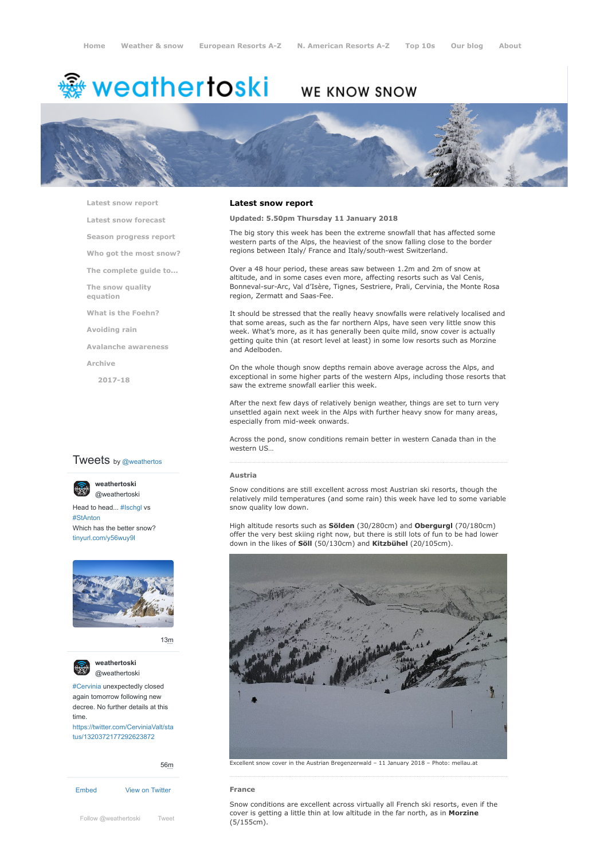# <del>灥</del> weathertoski

# WE KNOW SNOW



**[Latest snow report](https://www.weathertoski.co.uk/weather-snow/latest-snow-report/)**

**[Latest snow forecast](https://www.weathertoski.co.uk/weather-snow/latest-snow-forecast/)**

**[Season progress report](https://www.weathertoski.co.uk/weather-snow/season-progress-report/)**

**[Who got the most snow?](https://www.weathertoski.co.uk/weather-snow/who-got-the-most-snow/)**

**[The complete guide to...](https://www.weathertoski.co.uk/weather-snow/the-complete-guide-to/)**

**[The snow quality](https://www.weathertoski.co.uk/weather-snow/the-snow-quality-equation/)**

**[What is the Foehn?](https://www.weathertoski.co.uk/weather-snow/what-is-the-foehn/)**

**[Avoiding rain](https://www.weathertoski.co.uk/weather-snow/avoiding-rain/)**

**equation**

**[Avalanche awareness](https://www.weathertoski.co.uk/weather-snow/avalanche-awareness/)**

**[Archive](https://www.weathertoski.co.uk/weather-snow/archive/)**

**[2017-18](https://www.weathertoski.co.uk/weather-snow/archive/2017-18/)**

# **Tweets** by @weathertos

**weathertoski**



Head to head... [#Ischgl](https://twitter.com/hashtag/Ischgl?src=hash) vs [#StAnton](https://twitter.com/hashtag/StAnton?src=hash) Which has the better snow? [tinyurl.com/y56wuy9l](https://t.co/AeKkyB0N9S)



[13m](https://twitter.com/weathertoski/status/1320387692862050304)



**weathertoski** [@weathertoski](https://twitter.com/weathertoski)

[#Cervinia](https://twitter.com/hashtag/Cervinia?src=hash) unexpectedly closed again tomorrow following new decree. No further details at this time. [https://twitter.com/CerviniaValt/sta](https://twitter.com/CerviniaValt/status/1320372177292623872)

tus/1320372177292623872

[Embed](https://publish.twitter.com/?url=https%3A%2F%2Ftwitter.com%2Fweathertoski) [View on Twitter](https://twitter.com/weathertoski) [56m](https://twitter.com/weathertoski/status/1320376647305093126)

[Follow @weathertoski](https://twitter.com/intent/follow?original_referer=https%3A%2F%2Fwww.weathertoski.co.uk%2F&ref_src=twsrc%5Etfw®ion=follow_link&screen_name=weathertoski&tw_p=followbutton) [Tweet](https://twitter.com/intent/tweet?original_referer=https%3A%2F%2Fwww.weathertoski.co.uk%2F&ref_src=twsrc%5Etfw&text=Weather%20to%20ski%20-%20Snow%20report%20-%2011%20January%202018&tw_p=tweetbutton&url=https%3A%2F%2Fwww.weathertoski.co.uk%2Fweather-snow%2Farchive%2Fsnow-report-11-january-2018%2F) **COVET IS YET**<br>
(5/155cm).

# **Latest snow report**

## **Updated: 5.50pm Thursday 11 January 2018**

The big story this week has been the extreme snowfall that has affected some western parts of the Alps, the heaviest of the snow falling close to the border regions between Italy/ France and Italy/south-west Switzerland.

Over a 48 hour period, these areas saw between 1.2m and 2m of snow at altitude, and in some cases even more, affecting resorts such as Val Cenis, Bonneval-sur-Arc, Val d'Isère, Tignes, Sestriere, Prali, Cervinia, the Monte Rosa region, Zermatt and Saas-Fee.

It should be stressed that the really heavy snowfalls were relatively localised and that some areas, such as the far northern Alps, have seen very little snow this week. What's more, as it has generally been quite mild, snow cover is actually getting quite thin (at resort level at least) in some low resorts such as Morzine and Adelboden.

On the whole though snow depths remain above average across the Alps, and exceptional in some higher parts of the western Alps, including those resorts that saw the extreme snowfall earlier this week.

After the next few days of relatively benign weather, things are set to turn very unsettled again next week in the Alps with further heavy snow for many areas, especially from mid-week onwards.

Across the pond, snow conditions remain better in western Canada than in the western US…

## **Austria**

Snow conditions are still excellent across most Austrian ski resorts, though the relatively mild temperatures (and some rain) this week have led to some variable snow quality low down.

High altitude resorts such as **Sölden** (30/280cm) and **Obergurgl** (70/180cm) offer the very best skiing right now, but there is still lots of fun to be had lower down in the likes of **Söll** (50/130cm) and **Kitzbühel** (20/105cm).



Excellent snow cover in the Austrian Bregenzerwald – 11 January 2018 – Photo: mellau.at

#### **France**

Snow conditions are excellent across virtually all French ski resorts, even if the cover is getting a little thin at low altitude in the far north, as in **Morzine**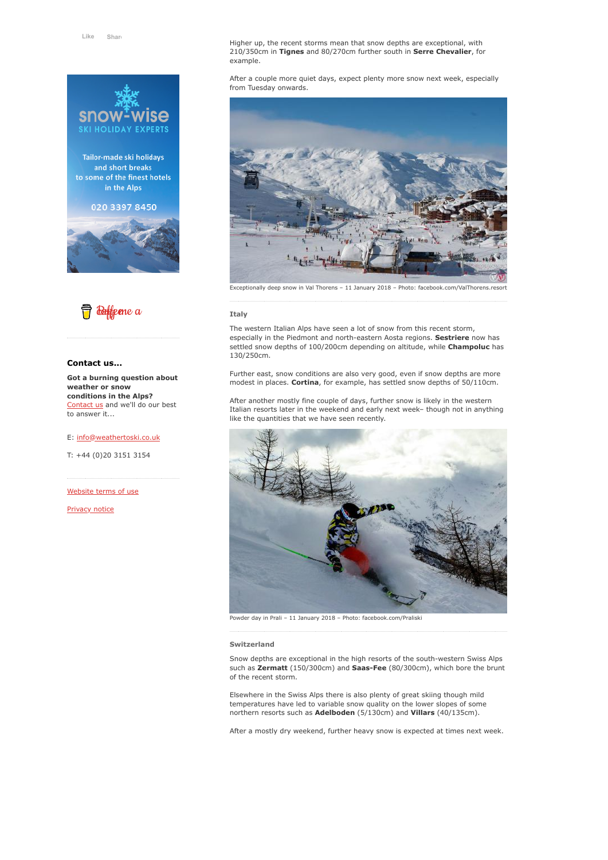

Tailor-made ski holidays and short breaks to some of the finest hotels in the Alps

# 020 3397 8450





# **Contact us...**

**Got a burning question about weather or snow conditions in the Alps?** [Contact us](https://www.weathertoski.co.uk/about-1/contact-us/) and we'll do our best to answer it...

#### E: [info@weathertoski.co.uk](mailto:fraser@weathertoski.co.uk)

T: +44 (0)20 3151 3154

[Website terms of use](https://www.weathertoski.co.uk/about-1/website-terms-of-use/)

[Privacy notice](https://www.weathertoski.co.uk/about-1/privacy-notice/)

Higher up, the recent storms mean that snow depths are exceptional, with 210/350cm in **Tignes** and 80/270cm further south in **Serre Chevalier**, for example.

After a couple more quiet days, expect plenty more snow next week, especially from Tuesday onwards.



#### **Italy**

The western Italian Alps have seen a lot of snow from this recent storm, especially in the Piedmont and north-eastern Aosta regions. **Sestriere** now has settled snow depths of 100/200cm depending on altitude, while **Champoluc** has 130/250cm.

Further east, snow conditions are also very good, even if snow depths are more modest in places. **Cortina**, for example, has settled snow depths of 50/110cm.

After another mostly fine couple of days, further snow is likely in the western Italian resorts later in the weekend and early next week– though not in anything like the quantities that we have seen recently.



Powder day in Prali – 11 January 2018 – Photo: facebook.com/Praliski

#### **Switzerland**

Snow depths are exceptional in the high resorts of the south-western Swiss Alps such as **Zermatt** (150/300cm) and **Saas-Fee** (80/300cm), which bore the brunt of the recent storm.

Elsewhere in the Swiss Alps there is also plenty of great skiing though mild temperatures have led to variable snow quality on the lower slopes of some northern resorts such as **Adelboden** (5/130cm) and **Villars** (40/135cm).

After a mostly dry weekend, further heavy snow is expected at times next week.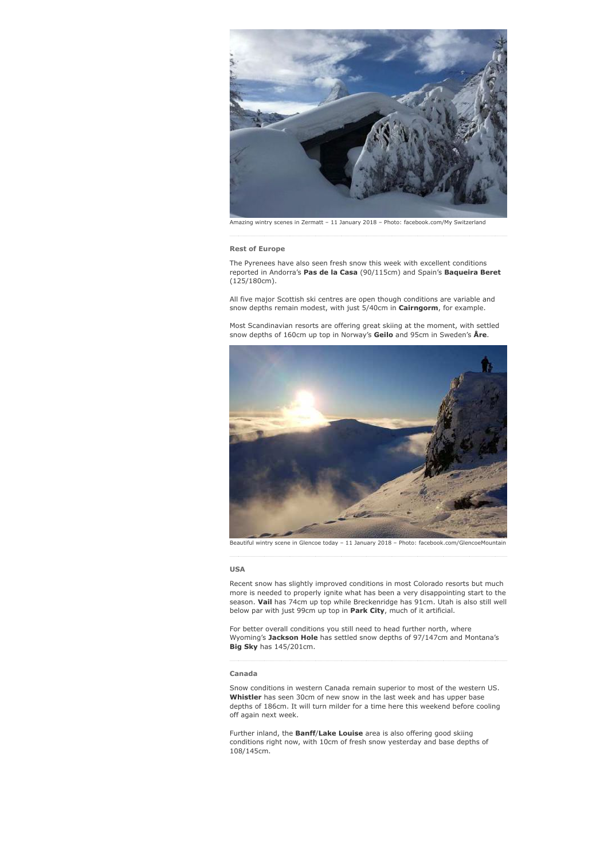

Amazing wintry scenes in Zermatt – 11 January 2018 – Photo: facebook.com/My Switzerland

#### **Rest of Europe**

The Pyrenees have also seen fresh snow this week with excellent conditions reported in Andorra's **Pas de la Casa** (90/115cm) and Spain's **Baqueira Beret** (125/180cm).

All five major Scottish ski centres are open though conditions are variable and snow depths remain modest, with just 5/40cm in **Cairngorm**, for example.

Most Scandinavian resorts are offering great skiing at the moment, with settled snow depths of 160cm up top in Norway's **Geilo** and 95cm in Sweden's **Åre**.



Beautiful wintry scene in Glencoe today – 11 January 2018 – Photo: facebook.com/GlencoeMountain

#### **USA**

Recent snow has slightly improved conditions in most Colorado resorts but much more is needed to properly ignite what has been a very disappointing start to the season. **Vail** has 74cm up top while Breckenridge has 91cm. Utah is also still well below par with just 99cm up top in **Park City**, much of it artificial.

For better overall conditions you still need to head further north, where Wyoming's **Jackson Hole** has settled snow depths of 97/147cm and Montana's **Big Sky** has 145/201cm.

## **Canada**

Snow conditions in western Canada remain superior to most of the western US. **Whistler** has seen 30cm of new snow in the last week and has upper base depths of 186cm. It will turn milder for a time here this weekend before cooling off again next week.

Further inland, the **Banff**/**Lake Louise** area is also offering good skiing conditions right now, with 10cm of fresh snow yesterday and base depths of 108/145cm.